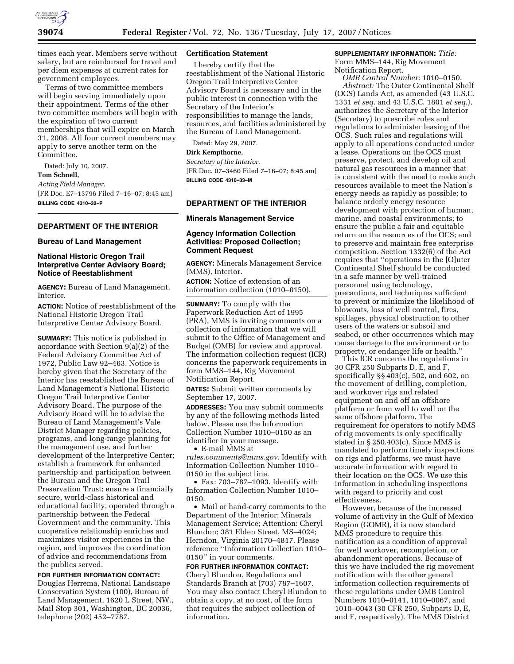

times each year. Members serve without salary, but are reimbursed for travel and per diem expenses at current rates for government employees.

Terms of two committee members will begin serving immediately upon their appointment. Terms of the other two committee members will begin with the expiration of two current memberships that will expire on March 31, 2008. All four current members may apply to serve another term on the Committee.

Dated: July 10, 2007. **Tom Schnell,**  *Acting Field Manager.*  [FR Doc. E7–13796 Filed 7–16–07; 8:45 am] **BILLING CODE 4310–32–P** 

### **DEPARTMENT OF THE INTERIOR**

### **Bureau of Land Management**

# **National Historic Oregon Trail Interpretive Center Advisory Board; Notice of Reestablishment**

**AGENCY:** Bureau of Land Management, **Interior** 

**ACTION:** Notice of reestablishment of the National Historic Oregon Trail Interpretive Center Advisory Board.

**SUMMARY:** This notice is published in accordance with Section 9(a)(2) of the Federal Advisory Committee Act of 1972, Public Law 92–463. Notice is hereby given that the Secretary of the Interior has reestablished the Bureau of Land Management's National Historic Oregon Trail Interpretive Center Advisory Board. The purpose of the Advisory Board will be to advise the Bureau of Land Management's Vale District Manager regarding policies, programs, and long-range planning for the management use, and further development of the Interpretive Center; establish a framework for enhanced partnership and participation between the Bureau and the Oregon Trail Preservation Trust; ensure a financially secure, world-class historical and educational facility, operated through a partnership between the Federal Government and the community. This cooperative relationship enriches and maximizes visitor experiences in the region, and improves the coordination of advice and recommendations from the publics served.

**FOR FURTHER INFORMATION CONTACT:**  Douglas Herrema, National Landscape Conservation System (100), Bureau of Land Management, 1620 L Street, NW., Mail Stop 301, Washington, DC 20036, telephone (202) 452–7787.

# **Certification Statement**

I hereby certify that the reestablishment of the National Historic Oregon Trail Interpretive Center Advisory Board is necessary and in the public interest in connection with the Secretary of the Interior's responsibilities to manage the lands, resources, and facilities administered by the Bureau of Land Management.

Dated: May 29, 2007.

# **Dirk Kempthorne,**

*Secretary of the Interior.*  [FR Doc. 07–3460 Filed 7–16–07; 8:45 am] **BILLING CODE 4310–33–M** 

# **DEPARTMENT OF THE INTERIOR**

### **Minerals Management Service**

### **Agency Information Collection Activities: Proposed Collection; Comment Request**

**AGENCY:** Minerals Management Service (MMS), Interior.

**ACTION:** Notice of extension of an information collection (1010–0150).

**SUMMARY:** To comply with the Paperwork Reduction Act of 1995 (PRA), MMS is inviting comments on a collection of information that we will submit to the Office of Management and Budget (OMB) for review and approval. The information collection request (ICR) concerns the paperwork requirements in form MMS–144, Rig Movement Notification Report.

**DATES:** Submit written comments by September 17, 2007.

**ADDRESSES:** You may submit comments by any of the following methods listed below. Please use the Information Collection Number 1010–0150 as an identifier in your message.

• E-mail MMS at *rules.comments@mms.gov.* Identify with Information Collection Number 1010– 0150 in the subject line.

• Fax: 703–787–1093. Identify with Information Collection Number 1010– 0150.

• Mail or hand-carry comments to the Department of the Interior; Minerals Management Service; Attention: Cheryl Blundon; 381 Elden Street, MS–4024; Herndon, Virginia 20170–4817. Please reference ''Information Collection 1010– 0150'' in your comments.

**FOR FURTHER INFORMATION CONTACT:**  Cheryl Blundon, Regulations and Standards Branch at (703) 787–1607. You may also contact Cheryl Blundon to obtain a copy, at no cost, of the form that requires the subject collection of information.

# **SUPPLEMENTARY INFORMATION:** *Title:*

Form MMS–144, Rig Movement Notification Report.

*OMB Control Number:* 1010–0150. *Abstract:* The Outer Continental Shelf (OCS) Lands Act, as amended (43 U.S.C. 1331 *et seq.* and 43 U.S.C. 1801 *et seq.*), authorizes the Secretary of the Interior (Secretary) to prescribe rules and regulations to administer leasing of the OCS. Such rules and regulations will apply to all operations conducted under a lease. Operations on the OCS must preserve, protect, and develop oil and natural gas resources in a manner that is consistent with the need to make such resources available to meet the Nation's energy needs as rapidly as possible; to balance orderly energy resource development with protection of human, marine, and coastal environments; to ensure the public a fair and equitable return on the resources of the OCS; and to preserve and maintain free enterprise competition. Section 1332(6) of the Act requires that ''operations in the [O]uter Continental Shelf should be conducted in a safe manner by well-trained personnel using technology, precautions, and techniques sufficient to prevent or minimize the likelihood of blowouts, loss of well control, fires, spillages, physical obstruction to other users of the waters or subsoil and seabed, or other occurrences which may cause damage to the environment or to property, or endanger life or health.''

This ICR concerns the regulations in 30 CFR 250 Subparts D, E, and F, specifically §§ 403(c), 502, and 602, on the movement of drilling, completion, and workover rigs and related equipment on and off an offshore platform or from well to well on the same offshore platform. The requirement for operators to notify MMS of rig movements is only specifically stated in § 250.403(c). Since MMS is mandated to perform timely inspections on rigs and platforms, we must have accurate information with regard to their location on the OCS. We use this information in scheduling inspections with regard to priority and cost effectiveness.

However, because of the increased volume of activity in the Gulf of Mexico Region (GOMR), it is now standard MMS procedure to require this notification as a condition of approval for well workover, recompletion, or abandonment operations. Because of this we have included the rig movement notification with the other general information collection requirements of these regulations under OMB Control Numbers 1010–0141, 1010–0067, and 1010–0043 (30 CFR 250, Subparts D, E, and F, respectively). The MMS District